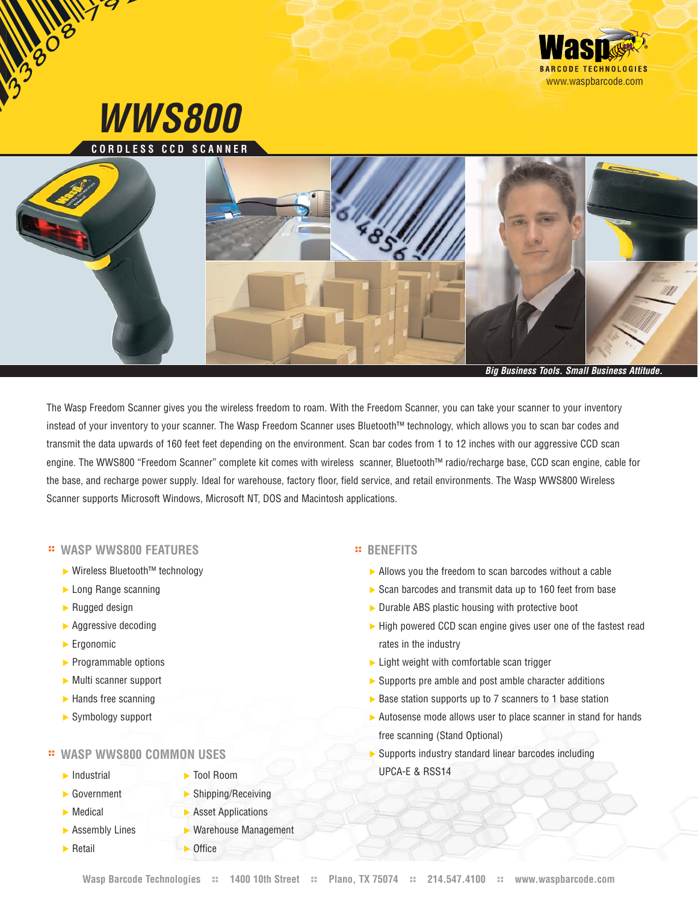

The Wasp Freedom Scanner gives you the wireless freedom to roam. With the Freedom Scanner, you can take your scanner to your inventory instead of your inventory to your scanner. The Wasp Freedom Scanner uses Bluetooth™ technology, which allows you to scan bar codes and transmit the data upwards of 160 feet feet depending on the environment. Scan bar codes from 1 to 12 inches with our aggressive CCD scan engine. The WWS800 "Freedom Scanner" complete kit comes with wireless scanner, Bluetooth™ radio/recharge base, CCD scan engine, cable for the base, and recharge power supply. Ideal for warehouse, factory floor, field service, and retail environments. The Wasp WWS800 Wireless Scanner supports Microsoft Windows, Microsoft NT, DOS and Macintosh applications.

## **:: WASP WWS800 FEATURES**

- ▶ Wireless Bluetooth™ technology
- **Long Range scanning**
- Rugged design
- **Aggressive decoding**
- **Ergonomic**
- $\blacktriangleright$  Programmable options
- Multi scanner support
- $\blacktriangleright$  Hands free scanning
- Symbology support

## **:: WASP WWS800 COMMON USES**

- $\blacktriangleright$  Industrial
- **► Government**
- **Medical**
- **Assembly Lines**
- $\blacktriangleright$  Retail
- Tool Room
- Shipping/Receiving
- **Asset Applications** 
	- Warehouse Management
- 
- **D**ffice

## **:: BENEFITS**

- Allows you the freedom to scan barcodes without a cable
- Scan barcodes and transmit data up to 160 feet from base
- Durable ABS plastic housing with protective boot
- $\blacktriangleright$  High powered CCD scan engine gives user one of the fastest read rates in the industry
- $\blacktriangleright$  Light weight with comfortable scan trigger
- Supports pre amble and post amble character additions
- ▶ Base station supports up to 7 scanners to 1 base station
- Autosense mode allows user to place scanner in stand for hands free scanning (Stand Optional)
- Supports industry standard linear barcodes including UPCA-E & RSS14